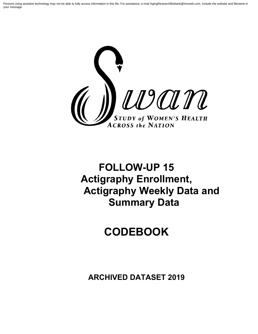Persons using assistive technology may not be able to fully access information in this file. For assistance, e-mail AgingResearchBiobank@imsweb.com. Include the website and filename in your message.

**LUICE TO ACROSS the NATION** 

# **FOLLOW-UP 15 Actigraphy Enrollment, Actigraphy Weekly Data and Summary Data**

# **CODEBOOK**

**ARCHIVED DATASET 2019**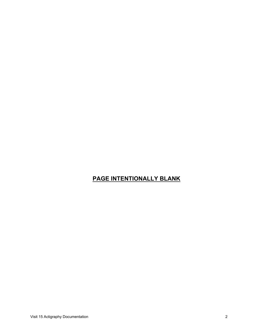## **PAGE INTENTIONALLY BLANK**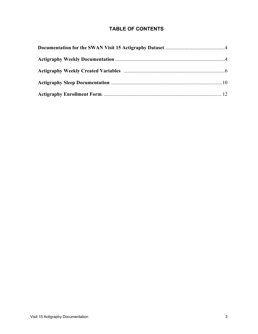## **TABLE OF CONTENTS**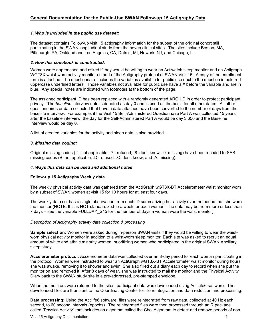#### **General Documentation for the Public-Use SWAN Follow-up 15 Actigraphy Data**

#### *1. Who is included in the public use dataset:*

The dataset contains Follow-up visit 15 actigraphy information for the subset of the original cohort still participating in the SWAN longitudinal study from the seven clinical sites. The sites include Boston, MA, Pittsburgh, PA, Oakland and Los Angeles, CA, Detroit, MI, Newark, NJ, and Chicago, IL.

#### *2. How this codebook is constructed:*

Women were approached and asked if they would be willing to wear an Actiwatch sleep monitor and an Actigraph WGT3X waist-worn activity monitor as part of the Actigraphy protocol at SWAN Visit 15. A copy of the enrollment form is attached. The questionnaire includes the variables available for public use next to the question in bold red uppercase underlined letters. Those variables not available for public use have a # before the variable and are in blue. Any special notes are indicated with footnotes at the bottom of the page.

The assigned participant ID has been replaced with a randomly generated ARCHID in order to protect participant privacy. The *baseline* interview date is denoted as day 0 and is used as the basis for all other dates. All other questionnaires or data collected that have a date attached have been converted to the number of days from the baseline interview. For example, if the Visit 15 Self-Administered Questionnaire Part A was collected 15 years after the baseline interview, the day for the Self-Administered Part A would be day 3,650 and the Baseline Interview would be day 0.

A list of created variables for the activity and sleep data is also provided.

#### *3. Missing data coding:*

Original missing codes (-1: not applicable, -7: refused, -8: don't know, -9: missing) have been recoded to SAS missing codes (B: not applicable, .D: refused, .C: don't know, and .A: missing).

#### *4. Ways this data can be used and additional notes*

#### **Follow-up 15 Actigraphy Weekly data**

The weekly physical activity data was gathered from the ActiGraph wGT3X-BT Accelerometer waist monitor worn by a subset of SWAN women at visit 15 for 10 hours for at least four days.

The weekly data set has a single observation from each ID summarizing her activity over the period that she wore the monitor (NOTE: this is NOT standardized to a week for each woman. The data may be from more or less than 7 davs – see the variable FULLDAY S15 for the number of days a woman wore the waist monitor).

#### *Description of Actigraphy activity data collection & processing*

**Sample selection:** Women were asked during in-person SWAN visits if they would be willing to wear the waistworn physical activity monitor in addition to a wrist-worn sleep monitor. Each site was asked to recruit an equal amount of white and ethnic minority women, prioritizing women who participated in the original SWAN Ancillary sleep study.

**Accelerometer protocol:** Accelerometer data was collected over an 8-day period for each woman participating in the protocol. Women were instructed to wear an ActiGraph wGT3X-BT Accelerometer waist monitor during hours she was awake, removing it to shower and swim. She also filled out a diary each day to record when she put the monitor on and removed it. After 8 days of wear, she was instructed to mail the monitor and the Physical Activity Diary back to the SWAN study site in a pre-addressed, pre-stamped envelope.

When the monitors were returned to the sites, participant data was downloaded using ActiLife6 software. The downloaded files are then sent to the Coordinating Center for file reintegration and data reduction and processing.

**Data processing:** Using the Actilife6 software, files were reintegrated from raw data, collected at 40 Hz each second, to 60 second intervals (epochs). The reintegrated files were then processed through an R package called "PhysicalActivity" that includes an algorithm called the Choi Algorithm to detect and remove periods of non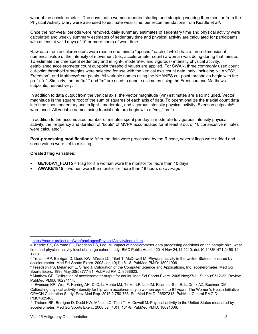wear of the accelerometer<sup>1</sup>. The days that a woman reported starting and stopping wearing then monitor from the Physical Activity Diary were also used to estimate wear time, per recommendations from Keadle et al<sup>2</sup>.

Once the non-wear periods were removed, daily summary estimates of sedentary time and physical activity were calculated and weekly summary estimates of sedentary time and physical activity are calculated for participants with at least 4 valid days of 10 or more hours of wear time.

Raw data from accelerometers were read in one minute "epochs," each of which has a three-dimensional numerical value of the intensity of movement (i.e., accelerometer count) a woman was doing during that minute. To estimate the time spent sedentary and in light-, moderate-, and vigorous- intensity physical activity, established accelerometer count cut-point threshold values are applied. For SWAN, three commonly used count cut-point threshold strategies were selected for use with the vertical axis count data, only, including NHANES $3$ , Freedson<sup>4</sup>, and Matthews<sup>5</sup> cut-points. All variable names using the NHANES cut-point thresholds begin with the prefix "n". Similarly, the prefix "f" and "m" are used to denote estimates using the Freedson and Matthews cutpoints, respectively.

In addition to data output from the vertical axis, the vector magnitude (vm) estimates are also included. Vector magnitude is the square root of the sum of squares of each axis of data. To operationalize the triaxial count data into time spent sedentary and in light-, moderate-, and vigorous intensity physical activity, Evenson cutpoints<sup>6</sup> were used. All variable names using triaxial data are begin with a "vm\_" prefix.

In addition to the accumulated number of minutes spent per day in moderate to vigorous intensity physical activity, the frequency and duration of "bouts" of MVPA accumulated for at least 8 out of 10 consecutive minutes were calculated<sup>7</sup>.

**Post-processing modifications:** After the data were processed by the R code, several flags were added and some values were set to missing.

#### **Created flag variables:**

- **GE10DAY\_FLG15** = Flag for if a woman wore the monitor for *more* than 10 days
- **AWAKE1815** = women wore the monitor for more than 18 hours *on average*

<sup>1</sup> <https://cran.r-project.org/web/packages/PhysicalActivity/index.html>

<sup>&</sup>lt;sup>2</sup> Keadle SK, Shiroma EJ, Freedson PS, Lee IM. Impact of accelerometer data processing decisions on the sample size, wear time and physical activity level of a large cohort study. BMC Public Health. 2014 Nov 24;14:1210. doi:10.1186/1471-2458-14- 1210.

<sup>3</sup> Troiano RP, Berrigan D, Dodd KW, Mâsse LC, Tilert T, McDowell M. Physical activity in the United States measured by accelerometer. Med Sci Sports Exerc. 2008 Jan;40(1):181-8. PubMed PMID: 18091006.

<sup>4</sup> Freedson PS, Melanson E, Sirard J. Calibration of the Computer Science and Applications, Inc. accelerometer. Med Sci Sports Exerc. 1998 May;30(5):777-81. PubMed PMID: 9588623.

<sup>5</sup> Matthew CE. Calibration of accelerometer output for adults. Med Sci Sports Exerc. 2005 Nov;37(11 Suppl):S512-22. Review. PubMed PMID: 16294114.

<sup>6</sup> Evenson KR, Wen F, Herring AH, Di C, LaMonte MJ, Tinker LF, Lee IM, Rillamas-Sun E, LaCroix AZ, Buchner DM. Calibrating physical activity intensity for hip-worn accelerometry in women age 60 to 91 years: The Women's Health Initiative OPACH Calibration Study. Prev Med Rep. 2015;2:750-756. PubMed PMID: 26527313; PubMed Central PMCID: PMC4625400.

 $7$  Troiano RP, Berrigan D, Dodd KW, Mâsse LC, Tilert T, McDowell M. Physical activity in the United States measured by accelerometer. Med Sci Sports Exerc. 2008 Jan;40(1):181-8. PubMed PMID: 18091006.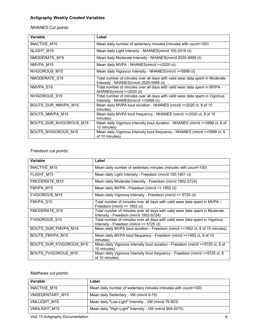## **Actigraphy Weekly Created Variables**

## *NHANES Cut points:*

| Variable                       | Label                                                                                                                  |
|--------------------------------|------------------------------------------------------------------------------------------------------------------------|
| <b>INACTIVE M15</b>            | Mean daily number of sedentary minutes (minutes with count<100)                                                        |
| NLIGHT M15                     | Mean daily Light Intensity - NHANES(min/d 100-2019 ct)                                                                 |
| NMODERATE M15                  | Mean daily Moderate Intensity - NHANES(min/d 2020-5998 ct)                                                             |
| NMVPA_M15                      | Mean daily MVPA - NHANES(min/d >=2020 ct)                                                                              |
| NVIGOROUS M15                  | Mean daily Vigorous Intensity - NHANES(min/d >=5999 ct)                                                                |
| NMODERATE S15                  | Total number of minutes over all days with valid wear data spent in Moderate<br>Intensity - NHANES(min/d 2020-5998 ct) |
| NMVPA S15                      | Total number of minutes over all days with valid wear data spent in MVPA -<br>$NHANES(min/d \ge 2020 ct)$              |
| NVIGOROUS S15                  | Total number of minutes over all days with valid wear data spent in Vigorous<br>Intensity - NHANES(min/d >=5999 ct)    |
| BOUTS_DUR_NMVPA_M15            | Mean daily MVPA bout duration - NHANES (min/d >=2020 ct, 8 of 10<br>minutes)                                           |
| <b>BOUTS NMVPA M15</b>         | Mean daily MVPA bout frequency - NHANES (min/d >=2020 ct, 8 of 10<br>minutes)                                          |
| <b>BOUTS DUR NVIGOROUS M15</b> | Mean daily Vigorous Intensity bout duration - NHANES (min/d >=5999 ct, 8 of<br>10 minutes)                             |
| <b>BOUTS NVIGOROUS M15</b>     | Mean daily Vigorous Intensity bout frequency - NHANES (min/d >=5999 ct, 8<br>of 10 minutes)                            |

## *Freedson cut points:*

| Variable                   | Label                                                                                                                     |
|----------------------------|---------------------------------------------------------------------------------------------------------------------------|
| <b>INACTIVE M15</b>        | Mean daily number of sedentary minutes (minutes with count<100)                                                           |
| FLIGHT_M15                 | Mean daily Light Intensity - Freedson (min/d 100-1951 ct)                                                                 |
| FMODERATE M15              | Mean daily Moderate Intensity - Freedson (min/d 1952-5724)                                                                |
| FMVPA M15                  | Mean daily MVPA - Freedson (min/d $\ge$ = 1952 ct)                                                                        |
| <b>FVIGOROUS M15</b>       | Mean daily Vigorous Intensity - Freedson (min/d >= 5725 ct)                                                               |
| FMVPA_S15                  | Total number of minutes over all days with valid wear data spent in MVPA -<br>Freedson (min/d $>= 1952$ ct)               |
| <b>FMODERATE S15</b>       | Total number of minutes over all days with valid wear data spent in Moderate<br>Intensity - Freedson (min/d 1952-5724)    |
| FVIGOROUS S15              | Total number of minutes over all days with valid wear data spent in Vigorous<br>Intensity - Freedson (min/d $>= 5725$ ct) |
| BOUTS_DUR_FMVPA_M15        | Mean daily MVPA bout duration - Freedson (min/d $\ge$ =1952 ct, 8 of 10 minutes)                                          |
| BOUTS_FMVPA_M15            | Mean daily MVPA bout frequency - Freedson (min/d >=1952 ct, 8 of 10<br>minutes)                                           |
| BOUTS DUR FVIGOROUS M15    | Mean daily Vigorous Intensity bout duration - Freedson (min/d >=5725 ct, 8 of<br>10 minutes)                              |
| <b>BOUTS FVIGOROUS M15</b> | Mean daily Vigorous Intensity bout frequency - Freedson (min/d >=5725 ct, 8<br>of 10 minutes)                             |

## *Matthews cut points:*

| Variable               | Label                                                           |
|------------------------|-----------------------------------------------------------------|
| INACTIVE M15           | Mean daily number of sedentary minutes (minutes with count<100) |
| <b>VMSEDENTARY M15</b> | Mean daily Sedentary - VM (min/d 0-75)                          |
| <b>VMLLIGHT M15</b>    | Mean daily "Low-Light" Intensity - VM (min/d 76-903)            |
| <b>VMHLIGHT M15</b>    | Mean daily "High-Light" Intensity - VM (min/d 904-2075)         |

Visit 15 Actigraphy Documentation 6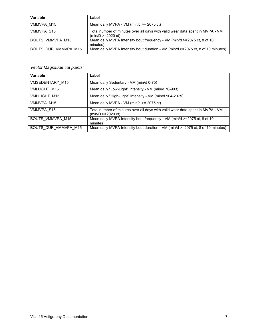| Variable                | Label                                                                                                          |
|-------------------------|----------------------------------------------------------------------------------------------------------------|
| VMMVPA M15              | Mean daily MVPA - VM (min/d $>= 2075$ ct)                                                                      |
| VMMVPA S15              | Total number of minutes over all days with valid wear data spent in MVPA - VM<br>$(min/D \ge 2020 \text{ ct})$ |
| <b>BOUTS VMMVPA M15</b> | Mean daily MVPA Intensity bout frequency - VM (min/d >=2075 ct, 8 of 10<br>minutes)                            |
| BOUTS DUR VMMVPA M15    | Mean daily MVPA Intensity bout duration - VM (min/d >=2075 ct, 8 of 10 minutes)                                |

### *Vector Magnitude cut points:*

| Variable             | Label                                                                                                          |
|----------------------|----------------------------------------------------------------------------------------------------------------|
| VMSEDENTARY M15      | Mean daily Sedentary - VM (min/d 0-75)                                                                         |
| VMLLIGHT_M15         | Mean daily "Low-Light" Intensity - VM (min/d 76-903)                                                           |
| VMHLIGHT_M15         | Mean daily "High-Light" Intensity - VM (min/d 904-2075)                                                        |
| VMMVPA M15           | Mean daily MVPA - VM ( $min/d \ge 2075$ ct)                                                                    |
| VMMVPA S15           | Total number of minutes over all days with valid wear data spent in MVPA - VM<br>$(min/D \ge 2020 \text{ ct})$ |
| BOUTS VMMVPA M15     | Mean daily MVPA Intensity bout frequency - VM (min/d >=2075 ct, 8 of 10<br>minutes)                            |
| BOUTS DUR VMMVPA M15 | Mean daily MVPA Intensity bout duration - VM (min/d >=2075 ct, 8 of 10 minutes)                                |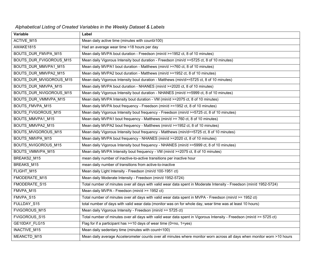| Variable                       | Label                                                                                                                   |
|--------------------------------|-------------------------------------------------------------------------------------------------------------------------|
| ACTIVE_M15                     | Mean daily active time (minutes with count≥100)                                                                         |
| AWAKE1815                      | Had an average wear time >18 hours per day                                                                              |
| BOUTS_DUR_FMVPA_M15            | Mean daily MVPA bout duration - Freedson (min/d >=1952 ct, 8 of 10 minutes)                                             |
| <b>BOUTS DUR FVIGOROUS M15</b> | Mean daily Vigorous Intensity bout duration - Freedson (min/d >=5725 ct, 8 of 10 minutes)                               |
| <b>BOUTS DUR MMVPA1 M15</b>    | Mean daily MVPA1 bout duration - Matthews (min/d >=760 ct, 8 of 10 minutes)                                             |
| BOUTS_DUR_MMVPA2_M15           | Mean daily MVPA2 bout duration - Matthews (min/d >=1952 ct, 8 of 10 minutes)                                            |
| BOUTS_DUR_MVIGOROUS_M15        | Mean daily Vigorous Intensity bout duration - Matthews (min/d>=5725 ct, 8 of 10 minutes)                                |
| BOUTS_DUR_NMVPA_M15            | Mean daily MVPA bout duration - NHANES (min/d >=2020 ct, 8 of 10 minutes)                                               |
| BOUTS_DUR_NVIGOROUS_M15        | Mean daily Vigorous Intensity bout duration - NHANES (min/d >=5999 ct, 8 of 10 minutes)                                 |
| BOUTS_DUR_VMMVPA_M15           | Mean daily MVPA Intensity bout duration - VM (min/d >=2075 ct, 8 of 10 minutes)                                         |
| <b>BOUTS_FMVPA_M15</b>         | Mean daily MVPA bout frequency - Freedson (min/d >=1952 ct, 8 of 10 minutes)                                            |
| BOUTS_FVIGOROUS_M15            | Mean daily Vigorous Intensity bout frequency - Freedson (min/d >=5725 ct, 8 of 10 minutes)                              |
| BOUTS_MMVPA1_M15               | Mean daily MVPA1 bout frequency - Matthews (min/d >= 760 ct, 8 of 10 minutes)                                           |
| BOUTS_MMVPA2_M15               | Mean daily MVPA2 bout frequency - Matthews (min/d >=1952 ct, 8 of 10 minutes)                                           |
| <b>BOUTS_MVIGOROUS_M15</b>     | Mean daily Vigorous Intensity bout frequency - Matthews (min/d>=5725 ct, 8 of 10 minutes)                               |
| BOUTS_NMVPA_M15                | Mean daily MVPA bout frequency - NHANES (min/d >=2020 ct, 8 of 10 minutes)                                              |
| <b>BOUTS_NVIGOROUS_M15</b>     | Mean daily Vigorous Intensity bout frequency - NHANES (min/d >=5999 ct, 8 of 10 minutes)                                |
| BOUTS_VMMVPA_M15               | Mean daily MVPA Intensity bout frequency - VM (min/d >=2075 ct, 8 of 10 minutes)                                        |
| BREAKS2 M15                    | mean daily number of inactive-to-active transitions per inactive hour                                                   |
| BREAKS_M15                     | mean daily number of transitions from active-to-inactive                                                                |
| FLIGHT_M15                     | Mean daily Light Intensity - Freedson (min/d 100-1951 ct)                                                               |
| FMODERATE_M15                  | Mean daily Moderate Intensity - Freedson (min/d 1952-5724)                                                              |
| FMODERATE S15                  | Total number of minutes over all days with valid wear data spent in Moderate Intensity - Freedson (min/d 1952-5724)     |
| FMVPA_M15                      | Mean daily MVPA - Freedson (min/d >= 1952 ct)                                                                           |
| FMVPA_S15                      | Total number of minutes over all days with valid wear data spent in MVPA - Freedson (min/d >= 1952 ct)                  |
| FULLDAY_S15                    | total number of days with valid wear data (monitor was on for whole day, wear time was at least 10 hours)               |
| FVIGOROUS_M15                  | Mean daily Vigorous Intensity - Freedson (min/d >= 5725 ct)                                                             |
| FVIGOROUS_S15                  | Total number of minutes over all days with valid wear data spent in Vigorous Intensity - Freedson (min/d >= 5725 ct)    |
| GE10DAY_FLG15                  | Flag for if a participant has >=10 days of wear time (0=no, 1=yes)                                                      |
| INACTIVE_M15                   | Mean daily sedentary time (minutes with count<100)                                                                      |
| MEANCTD_M15                    | Mean daily average Accelerometer counts over all minutes where monitor worn across all days when monitor worn >10 hours |

## *Alphabetical Listing of Created Variables in the Weekly Dataset & Labels*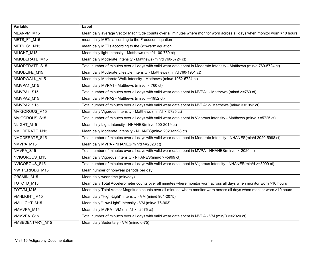| Variable          | Label                                                                                                                      |
|-------------------|----------------------------------------------------------------------------------------------------------------------------|
| MEANVM_M15        | Mean daily average Vector Magnitude counts over all minutes where monitor worn across all days when monitor worn >10 hours |
| METS_F1_M15       | mean daily METs according to the Freedson equation                                                                         |
| METS_S1_M15       | mean daily METs according to the Schwartz equation                                                                         |
| MLIGHT_M15        | Mean daily light Intensity - Matthews (min/d 100-759 ct)                                                                   |
| MMODERATE_M15     | Mean daily Moderate Intensity - Matthews (min/d 760-5724 ct)                                                               |
| MMODERATE_S15     | Total number of minutes over all days with valid wear data spent in Moderate Intensity - Matthews (min/d 760-5724 ct)      |
| MMODLIFE_M15      | Mean daily Moderate Lifestyle Intensity - Matthews (min/d 760-1951 ct)                                                     |
| MMODWALK_M15      | Mean daily Moderate Walk Intensity - Matthews (min/d 1952-5724 ct)                                                         |
| MMVPA1_M15        | Mean daily MVPA1 - Matthews (min/d >=760 ct)                                                                               |
| MMVPA1_S15        | Total number of minutes over all days with valid wear data spent in MVPA1 - Matthews (min/d >=760 ct)                      |
| MMVPA2_M15        | Mean daily MVPA2 - Matthews (min/d >=1952 ct)                                                                              |
| MMVPA2_S15        | Total number of minutes over all days with valid wear data spent in MVPA12- Matthews (min/d >=1952 ct)                     |
| MVIGOROUS_M15     | Mean daily Vigorous Intensity - Matthews (min/d >=5725 ct)                                                                 |
| MVIGOROUS_S15     | Total number of minutes over all days with valid wear data spent in Vigorous Intensity - Matthews (min/d >=5725 ct)        |
| NLIGHT_M15        | Mean daily Light Intensity - NHANES(min/d 100-2019 ct)                                                                     |
| NMODERATE_M15     | Mean daily Moderate Intensity - NHANES(min/d 2020-5998 ct)                                                                 |
| NMODERATE_S15     | Total number of minutes over all days with valid wear data spent in Moderate Intensity - NHANES(min/d 2020-5998 ct)        |
| NMVPA_M15         | Mean daily MVPA - NHANES(min/d >=2020 ct)                                                                                  |
| NMVPA_S15         | Total number of minutes over all days with valid wear data spent in MVPA - NHANES(min/d >=2020 ct)                         |
| NVIGOROUS_M15     | Mean daily Vigorous Intensity - NHANES(min/d >=5999 ct)                                                                    |
| NVIGOROUS_S15     | Total number of minutes over all days with valid wear data spent in Vigorous Intensity - NHANES(min/d >=5999 ct)           |
| NW_PERIODS_M15    | Mean number of nonwear periods per day                                                                                     |
| <b>OBSMIN M15</b> | Mean daily wear time (min/day)                                                                                             |
| TOTCTD_M15        | Mean daily Total Accelerometer counts over all minutes where monitor worn across all days when monitor worn >10 hours      |
| TOTVM M15         | Mean daily Total Vector Magnitude counts over all minutes where monitor worn across all days when monitor worn >10 hours   |
| VMHLIGHT_M15      | Mean daily "High-Light" Intensity - VM (min/d 904-2075)                                                                    |
| VMLLIGHT_M15      | Mean daily "Low-Light" Intensity - VM (min/d 76-903)                                                                       |
| VMMVPA M15        | Mean daily MVPA - VM (min/d >= 2075 ct)                                                                                    |
| VMMVPA_S15        | Total number of minutes over all days with valid wear data spent in MVPA - VM (min/D >=2020 ct)                            |
| VMSEDENTARY_M15   | Mean daily Sedentary - VM (min/d 0-75)                                                                                     |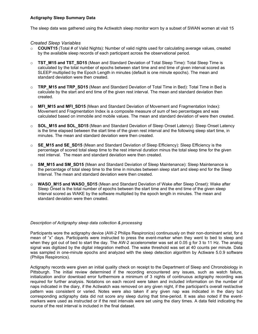#### **Actigraphy Sleep Summary Data**

The sleep data was gathered using the Actiwatch sleep monitor worn by a subset of SWAN women at visit 15

#### *Created Sleep Variables*

- **COUNT15** (Total # of Valid Nights): Number of valid nights used for calculating average values, created by the available sleep records of each participant across the observational period.
- o **TST\_M15 and TST\_SD15** (Mean and Standard Deviation of Total Sleep Time): Total Sleep Time is calculated by the total number of epochs between start time and end time of given interval scored as SLEEP multiplied by the Epoch Length in minutes (default is one minute epochs). The mean and standard deviation were then created.
- o **TRP\_M15 and TRP\_SD15** (Mean and Standard Deviation of Total Time in Bed): Total Time in Bed is calculate by the start and end time of the given rest interval. The mean and standard deviation then created.
- o **MFI\_M15 and MFI\_SD15** (Mean and Standard Deviation of Movement and Fragmentation Index): Movement and Fragmentation Index is a composite measure of sum of two percentages and was calculated based on immobile and mobile values. The mean and standard deviation of were then created.
- o **SOL\_M15 and SOL\_SD15** (Mean and Standard Deviation of Sleep Onset Latency): Sleep Onset Latency is the time elapsed between the start time of the given rest interval and the following sleep start time, in minutes. The mean and standard deviation were then created.
- o **SE\_M15 and SE\_SD15** (Mean and Standard Deviation of Sleep Efficiency): Sleep Efficiency is the percentage of scored total sleep time to the rest interval duration minus the total sleep time for the given rest interval. The mean and standard deviation were then created.
- o **SM\_M15 and SM\_SD15** (Mean and Standard Deviation of Sleep Maintenance): Sleep Maintenance is the percentage of total sleep time to the time in minutes between sleep start and sleep end for the Sleep Interval. The mean and standard deviation were then created.
- o **WASO\_M15 and WASO\_SD15** (Mean and Standard Deviation of Wake after Sleep Onset): Wake after Sleep Onset is the total number of epochs between the start time and the end time of the given sleep Interval scored as WAKE by the software multiplied by the epoch length in minutes. The mean and standard deviation were then created.

#### *Description of Actigraphy sleep data collection & processing*

Participants wore the actigraphy device (AW-2 Philips Respironics) continuously on their non-dominant wrist, for a mean of "x" days. Participants were instructed to press the event-marker when they went to bed to sleep and when they got out of bed to start the day. The AW-2 accelerometer was set at 0.05 g for 3 to 11 Hz. The analog signal was digitized by the digital integration method. The wake threshold was set at 40 counts per minute. Data was sampled in one-minute epochs and analyzed with the sleep detection algorithm by Actiware 5.0.9 software (Philips Respironics).

Actigraphy records were given an initial quality check on receipt to the Department of Sleep and Chronobiology in Pittsburgh. The initial review determined if the recording encountered any issues, such as watch failure, initialization and/or download error furthermore a minimum of 3 nights of continuous actigraphy recording was required for further analysis. Notations on each record were taken and included information on the number of naps indicated in the diary, if the Actiwatch was removed on any given night, if the participant's overall rest/active pattern was consistent or varied. Notes were also taken if any given nap was indicated in the diary but corresponding actigraphy data did not score any sleep during that time-period. It was also noted if the eventmarkers were used as instructed or if the rest intervals were set using the diary times. A data field indicating the source of the rest interval is included in the final dataset.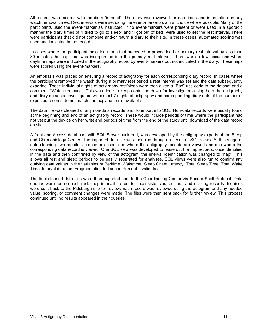All records were scored with the diary "in-hand". The diary was reviewed for nap times and information on any watch removal times. Rest intervals were set using the event-marker as a first choice where possible. Many of the participants used the event-marker as instructed. If no event-markers were present or were used in a sporadic manner the diary times of "I tried to go to sleep" and "I got out of bed" were used to set the rest interval. There were participants that did not complete and/or return a diary to their site. In these cases, automated scoring was used and indicated in the record.

In cases where the participant indicated a nap that preceded or proceeded her primary rest interval by less than 30 minutes the nap time was incorporated into the primary rest interval. There were a few occasions where daytime naps were indicated in the actigraphy record by event-markers but not indicated in the diary. These naps were scored using the event-markers.

An emphasis was placed on ensuring a record of actigraphy for each corresponding diary record. In cases where the participant removed the watch during a primary rest period a rest interval was set and the data subsequently exported. These individual nights of actigraphy rest/sleep were then given a "Bad" use code in the dataset and a comment, "Watch removed". This was done to keep confusion down for investigators using both the actigraphy and diary datasets. Investigators will expect 7 nights of actigraphy and corresponding diary data, if the number of expected records do not match, the explanation is available.

The data file was cleaned of any non-data records prior to import into SQL. Non-data records were usually found at the beginning and end of an actigraphy record. These would include periods of time where the participant had not yet put the device on her wrist and periods of time from the end of the study until download of the data record on site.

A front-end Access database, with SQL Server back-end, was developed by the actigraphy experts at the Sleep and Chronobiology Center. The imported data file was then run through a series of SQL views. At this stage of data cleaning, two monitor screens are used, one where the actigraphy records are viewed and one where the corresponding data record is viewed. One SQL view was developed to tease out the nap records, once identified in the data and then confirmed by view of the actogram, the interval identification was changed to "nap". This allows all rest and sleep periods to be easily separated for analyses. SQL views were also run to confirm any outlying data values in the variables of Bedtime, Waketime, Sleep Onset Latency, Total Sleep Time, Total Wake Time, Interval duration, Fragmentation Index and Percent Invalid data.

The final cleaned data files were then exported sent to the Coordinating Center via Secure Shell Protocol. Data queries were run on each rest/sleep interval, to test for inconsistencies, outliers, and missing records. Inquiries were sent back to the Pittsburgh site for review. Each record was reviewed using the actogram and any needed value, scoring, or comment changes were made. The files were then sent back for further review. This process continued until no results appeared in their queries.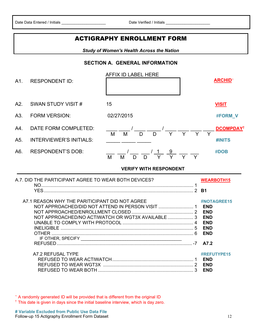## ACTIGRAPHY ENROLLMENT FORM

*Study of Women's Health Across the Nation* 

## **SECTION A. GENERAL INFORMATION**

|            | A1. RESPONDENT ID:                                                                                     | AFFIX ID LABEL HERE                                                                                                                                       | <b>ARCHID</b>                                                              |
|------------|--------------------------------------------------------------------------------------------------------|-----------------------------------------------------------------------------------------------------------------------------------------------------------|----------------------------------------------------------------------------|
| A2.        | SWAN STUDY VISIT #                                                                                     | 15                                                                                                                                                        | <b>VISIT</b>                                                               |
| A3.        | <b>FORM VERSION:</b>                                                                                   | 02/27/2015                                                                                                                                                | #FORM V                                                                    |
| A4.<br>A5. | DATE FORM COMPLETED:<br><b>INTERVIEWER'S INITIALS:</b>                                                 | $\frac{1}{M}$ $\frac{1}{M}$ $\frac{1}{D}$ $\frac{1}{D}$ $\frac{1}{N}$ $\frac{1}{N}$ $\frac{1}{N}$ $\frac{1}{N}$ $\frac{1}{N}$ $\frac{1}{N}$ $\frac{1}{N}$ | DCOMPDAY <sup>t</sup><br>#INITS                                            |
| A6.        | <b>RESPONDENT'S DOB:</b>                                                                               | $\frac{1}{M}$ $\frac{1}{M}$ $\frac{1}{D}$ $\frac{1}{D}$ $\frac{1}{Y}$ $\frac{9}{Y}$ $\frac{1}{Y}$ $\frac{9}{Y}$                                           | #DOB                                                                       |
|            |                                                                                                        | <b>VERIFY WITH RESPONDENT</b>                                                                                                                             |                                                                            |
|            | A.7. DID THE PARTICIPANT AGREE TO WEAR BOTH DEVICES?<br>A7.1 REASON WHY THE PARITICIPANT DID NOT AGREE |                                                                                                                                                           | <b>WEARBOTH15</b>                                                          |
|            |                                                                                                        | NOT APPROACHED/DID NOT ATTEND IN PERSON VISIT  1                                                                                                          | <b>#NOTAGREE15</b><br><b>END</b>                                           |
|            |                                                                                                        | NOT APPROACHED/NO ACTIWATCH OR WGT3X AVAILABLE  3                                                                                                         | <b>END</b><br><b>END</b><br><b>END</b><br><b>END</b><br><b>END</b><br>A7.2 |

<sup>~</sup> A randomly generated ID will be provided that is different from the original ID

**†** This date is given in days since the initial baseline interview, which is day zero.